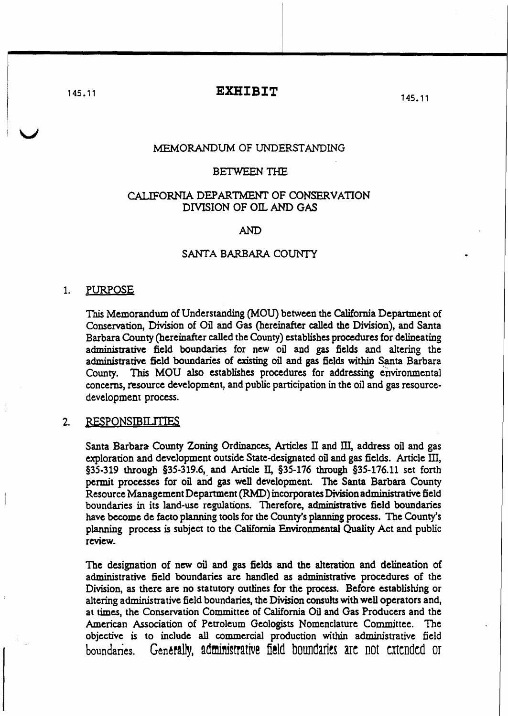145.11 **EXHIBIT** 

145. 11

## MEMORANDUM OF UNDERSTANDING

#### BETWEEN THE

# CALIFORNIA DEPARTMENT OF CONSERVATION DIVISION OF OIL AND GAS

AND

## SANTA BARBARA COUNTY

#### 1. PURPOSE

This Memorandum of Understanding (MOU) between the California Department of Conservation, Division of Oil and Gas (hereinafter called the Division), and Santa Barbara County (hereinafter called the County) establishes procedures for delineating admjnistrative field boundaries for new oil and gas fields and altering the administrative field boundaries of existing oil and gas fields within Santa Barbara County. This MOU also establishes procedures for addressing environmental concerns, resource development, and public participation in the oil and gas resourcedevelopment process.

## 2. RESPONSIBILITIES

Santa Barbara County Zoning Ordinances, Articles II and III, address oil and gas exploration and development outside State-designated oil and gas fields. Article III,  $§35-319$  through §35-319.6, and Article II,  $§35-176$  through  $§35-176.11$  set forth permit processes for oil and gas well development. The Santa Barbara County Resource Management Department (RMD) incorporates Division administrative field boundaries in its land-use regulations. Therefore, administrative field boundaries have become de facto planning tools for the County's planning process. The County's planning process is subject to the California Environmental Quality Act and public review.

The designation of new oil and gas fields and the alteration and delineation of administrative field boundaries are handled as administrative procedures of the Division, as there are no statutory outlines for the process. Before establishing or altering administrative field boundaries, the Division consults with well operators and, at times, the Conservation Committee of California Oil and Gas Producers and the American Association of Petroleum Geologists Nomenclature Committee. The objective is to include all commercial production within administrative field boundaries. Generally, administrative field boundaries are not extended or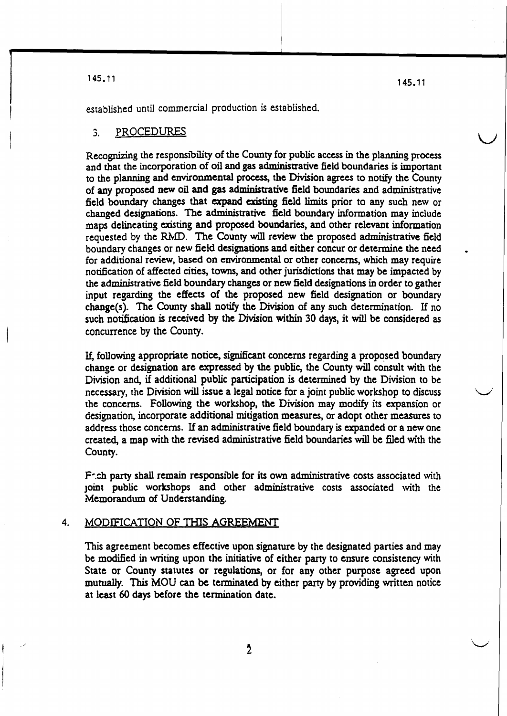145.11

145.11

 $\overline{\phantom{0}}$ 

established until commercial production is established.

#### ... PROCEDURES

Recognizing the responsibility of the County for public access in the planning process and that the incorporation of oil and gas administrative field boundaries is important to the planning and environmental process, the Division agrees to notify the County of any proposed new oil and gas administrative field boundaries and administrative field boundary changes that expand existing field limits prior to any such new or changed designations. The administrative field boundary information may include maps delineating existing and proposed boundaries, and other relevant information requested by the RMD. The County will review the proposed administrative field boundary Changes or new field designations and either concur or determine the need for additional review, based on environmental or other concerns, which may require notification of affected cities, towns, and other jurisdictions that may be impacted by the administrative field boundary changes or new field designations in order to gather input regarding the effects of the proposed new field designation or boundary change(s). The County shall notify the Division of any such determination. If no such notification is received by the Division within 30 days, it will be considered as concurrence by the County.

If, following appropriate notice, significant concerns regarding a proposed boundary change or designation are expressed by the public, the County will consult with the Division and, if additional public participation is determined by the Division to be necessary, the Division will issue a legal notice for a joint public workshop to discuss the concerns. Following the workshop, the Division may modify its expansion or designation, incorporate additional mitigation measures, or adopt other measures to address those concerns. If an administrative field boundary is expanded or a new one created, a map with the revised administrative field boundaries will be filed with the County.

F:ch party shall remain responsible for its own administrative costs associated with Joint public workshops and other administrative costs associated \vith the Memorandum of Understanding.

### 4. MODIFICATION OF THIS AGREEMENT

This agreement becomes effective upon signature by the designated parties and may be modified in writing upon the initiative of either party to ensure consistency with State or County statutes or regulations, or for any other purpose agreed upon mutually. This MOU can be terminated by either party by providing written notice at least 60 days before the termination date.

 $\lambda$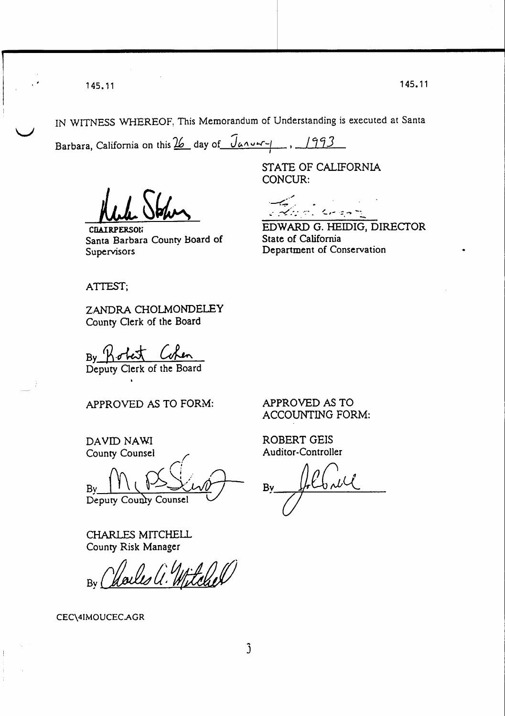145.11 145. 11

 $\setminus$ 

IN WITNESS WHEREOF, This Memorandum of Understanding is executed at Santa

Barbara, California on this 26 day of Janut-1  $1993$ 

CILAIRPERSON Santa Barbara County Board of Supervisors

STATE OF CALIFORNIA CONCUR:

.. -' ,-" **+-:-** .... -(.,- '= .., -., , - EDWARD G. HEIDIG, DIRECfOR State of California Department of Conservation

ATTEST;

ZANDRA CHOLMONDELEY County Clerk of the Board

By Robert Cohen<br>Deputy Clerk of the Board By *11·M-*

APPROVED AS TO FORM:

DAVID NAWI County Counsel

r!  $By \parallel \cup \cup \rightarrow \cup \cup \cup \cup \rightarrow$ 

Deputy County Counsel

CHARLES MITCHELL County Risk Manager

By Charles a. Mitchel

CEC\4IMOUCECAGR

APPROVED AS TO ACCOUNTING FORM:

ROBERT GElS Auditor-Controller

Bv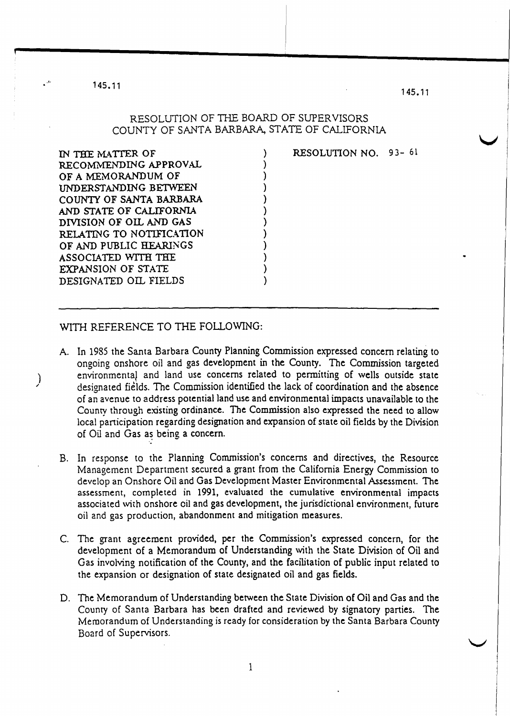145.11

j.

 $\big)$ 

1 45. 11

v

## RESOLUTION OF THE BOARD OF SUPER VISORS COUNTY OF SANTABARBARA, STATE OF CALIFORNIA

) ) ) ) ) ) ) ) ) ) ) )

| IN THE MATTER OF         |
|--------------------------|
| RECOMMENDING APPROVAL    |
| OF A MEMORANDUM OF       |
| UNDERSTANDING BETWEEN    |
| COUNTY OF SANTA BARBARA  |
| AND STATE OF CALIFORNIA  |
| DIVISION OF OIL AND GAS  |
| RELATING TO NOTIFICATION |
| OF AND PUBLIC HEARINGS   |
| ASSOCIATED WITH THE      |
| EXPANSION OF STATE       |
| DESIGNATED OIL FIELDS    |
|                          |

RESOLUTION NO. 93- 61

## WITH REFERENCE TO THE FOLLOWING:

- A. In 1985 the Santa Barbara County Planning Commission expressed concern relating to ongoing onshore oil and gas development in the County. The Commission targeted environmental and land use concerns related to pennitting of wells outside state designated fields. The Commission identified the lack of coordination and the absence of an avenue to address potential land use and environmental impacts unavailable to the County through existing ordinance. The Commission also expressed the need to allow local participation regarding designation and expansion of state oil fields by the Division of Oil and Gas as being a concern.
- B. In response to the Planning Commission's concerns and directives, the Resource Management Department secured a grant from the California Energy Commission to develop an Onshore Oil and Gas Development Master Environmental Assessment. The assessment, completed in 1991, evaluated the cumulative environmental impacts associated with onshore oil and gas development, the jurisdictional environment, future oil and gas production, abandonment and mitigation measures.
- C. The grant agreement provided, per the Commission's expressed concern, for the development of a Memorandum of Understanding with the State Division of Oil and Gas involving notification of the County, and the facilitation of public input related to the expansion or designation of state designated oil and gas fields.
- D. The Memorandum of Understanding between the State Division of Oil and Gas and the County of Santa Barbara has been drafted and reviewed by signatory parties. The Memorandum of Understanding is ready for consideration by the Santa Barbara County Board of Supervisors.